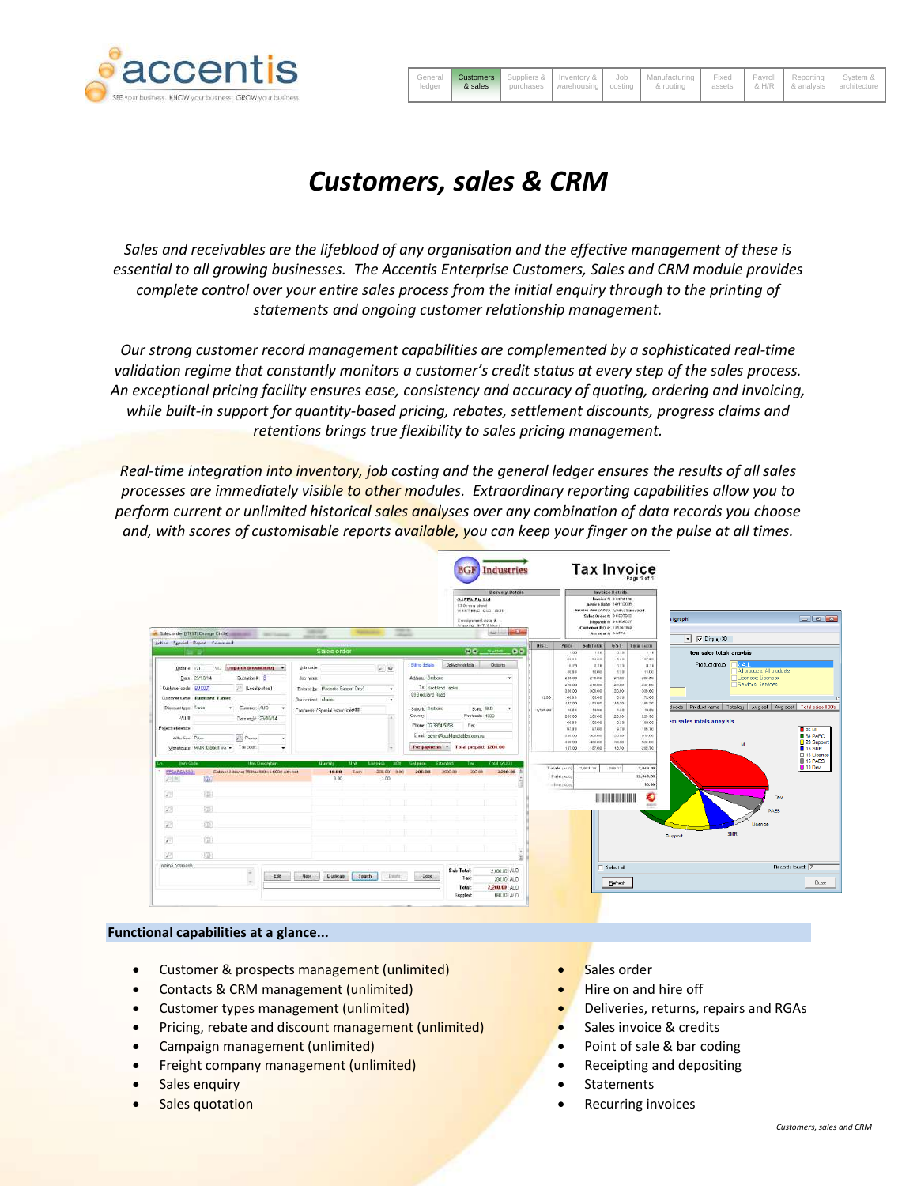

| ledger | & sales |  | General <b>Customers</b> Suppliers & Inventory & Job Manufacturing Fixed Payroll Reporting System &<br>1 purchases   warehousing   costing   & routing   assets   & H/R   & analysis   architecture |  |  |
|--------|---------|--|-----------------------------------------------------------------------------------------------------------------------------------------------------------------------------------------------------|--|--|
|        |         |  |                                                                                                                                                                                                     |  |  |

## *Customers, sales & CRM*

*Sales and receivables are the lifeblood of any organisation and the effective management of these is essential to all growing businesses. The Accentis Enterprise Customers, Sales and CRM module provides complete control over your entire sales process from the initial enquiry through to the printing of statements and ongoing customer relationship management.*

*Our strong customer record management capabilities are complemented by a sophisticated real-time validation regime that constantly monitors a customer's credit status at every step of the sales process. An exceptional pricing facility ensures ease, consistency and accuracy of quoting, ordering and invoicing, while built-in support for quantity-based pricing, rebates, settlement discounts, progress claims and retentions brings true flexibility to sales pricing management.*

*Real-time integration into inventory, job costing and the general ledger ensures the results of all sales processes are immediately visible to other modules. Extraordinary reporting capabilities allow you to perform current or unlimited historical sales analyses over any combination of data records you choose and, with scores of customisable reports available, you can keep your finger on the pulse at all times.*

| $\frac{1}{2} \left( \frac{1}{2} \right) \left( \frac{1}{2} \right) \left( \frac{1}{2} \right)$<br><b>COLOR</b><br>Sales order ([TEST) Crange Circle]<br><b>SECTIONS</b>                                                                                                                                                                                             |                                                                                                                                                                                | <b>Belivery Betolls</b><br>GAFFA Ptr.Ltd.<br>13 Direct street<br>WEST AND OLD 1939.<br>Consignment note #.<br><b>Sheater BKT Biscart</b><br>in Sale<br><b>Harrist</b><br><b>STATISTICS</b>                                                                                                                                                              | <b>Invoice Details</b><br>Bavois e N DES-ICI-IC<br>Inspire A Date: 14/11/2006<br>Interior And (ARD): 7,949,11 to 1,951.<br>Sales Order & BACOTOCO<br><b>Reported in Institution</b><br>Casteries #10 is: 135241148<br>Assesse is oners.                                                                                           |                                                                                                                                                                                                                                                                                                            | $-10 - 13$<br>(graph)<br>Display 30<br>$\mathbf{r}$                                                                                                                                                                                                                                      |  |
|---------------------------------------------------------------------------------------------------------------------------------------------------------------------------------------------------------------------------------------------------------------------------------------------------------------------------------------------------------------------|--------------------------------------------------------------------------------------------------------------------------------------------------------------------------------|---------------------------------------------------------------------------------------------------------------------------------------------------------------------------------------------------------------------------------------------------------------------------------------------------------------------------------------------------------|-----------------------------------------------------------------------------------------------------------------------------------------------------------------------------------------------------------------------------------------------------------------------------------------------------------------------------------|------------------------------------------------------------------------------------------------------------------------------------------------------------------------------------------------------------------------------------------------------------------------------------------------------------|------------------------------------------------------------------------------------------------------------------------------------------------------------------------------------------------------------------------------------------------------------------------------------------|--|
| Action Special Report Communit<br>(1) Depatch incomplete) =<br>Dider 7 1211<br>Quotation # 0<br>Date: 29/10/14<br>/ [Local patro)<br>Customer oads EUCOCT<br>Customers same Burckland Lables<br>* Curency, AUD<br>Discount type: Trade<br>- 10<br>P/O #<br>Determine: 29/10/14<br>Poject televania<br>Ponu<br>Altrain Por-<br>Warehouse: WUN:Default wa =: Tercode: | Sales order<br>$-9$<br>Lob code<br>Job name.<br>Entered by Proceeds Support Drivy<br>$\ddot{}$<br>Our context, charles<br>$\ddot{}$<br>Conness: / Special instructorights<br>п | Dis c.<br>00 100 00<br><b>Biling details</b><br>Delycry delate<br>Oziarta<br>Atdress Bridone<br>٠<br>To: Buckland Tables<br>09 B uckland Road<br>(1.00)<br>Suburb: Bisthare<br>State: DLD<br>1,406.03<br>Postcode: 4000<br><b>County:</b><br>flex<br>Phone: (17.3354.5858)<br>Ensi: ohur@kucklandables.com.eu<br>Pre-passents = Total prepaid: \$200.00 | Price<br><b>Self Trinsl</b><br>$+00$<br>$+11$<br>62.88<br>5300<br>15.29<br>3.18<br>70.88<br>10.00<br>240.00<br>245.00<br><b>Z10.00</b><br>2.92.00<br>388.00<br>306.00<br>0533<br>00.00<br>189.00<br>183,00<br>12.55<br>toor<br>263.00<br>200 00<br>05.33<br>00.00<br>97.99<br><b>WFOR</b><br>110.00<br>550.00<br>480.00<br>463.00 | GST: Tetal (aim)<br>0.18<br>$+11$<br>6.28<br>15700<br>0.33<br>3.3%<br>$+38$<br>1100<br>24.03<br>209.00<br>27.00<br>zar co<br>50.60<br>306.00<br>6.58<br>7200<br>16.35<br>180.20<br>1.88<br>10.00<br>20.00<br>229.00<br>100.00<br>0.33<br>6.78<br>106.70<br>\$15.00<br>5600<br>$+00.015$<br><b>Size Ext</b> | Item sales totals anaylsis<br>Product group:<br>دعاها<br>All products: All products<br>Licences: Licences<br>Services: Services<br>loods Product name   Total cty   Avg sel   Avg cost   Total sales 000s<br>m sales totals anaylsis<br>$B$ as MI<br><b>B</b> 84 PAEC<br>28 Suppor<br>MI |  |
| <b>Ilers Code</b><br><b>How Description</b><br><b>FFCARCASSO1</b><br>Cabinet 2 diamet 7536 x 800m a fiftlet nat-teat<br><b>GD</b><br>四回<br>偭<br>s.<br>Ð<br>37<br>œ.<br>¥.<br>面<br>$\overline{\phantom{a}}$                                                                                                                                                          | <b>UMMYRD</b><br>Uni<br>List yess.<br>נוב<br>10.00<br>Earth<br>200.00<br>400<br>3.00<br>3.00                                                                                   | Fotal (AUD)<br><b>Selliste</b><br>Extended<br>Text.<br>200.03<br>200.00<br>200008<br>2200.00 1                                                                                                                                                                                                                                                          | 167.00<br>107.00<br>Tatals mith<br>2,803,281<br>P ald puts<br>-line tweed                                                                                                                                                                                                                                                         | 10.70<br>208.70<br>268.13<br>2,949.32<br>\$2,949.39<br>30.90<br>O<br><b>Alaka</b>                                                                                                                                                                                                                          | $-16$ SMR<br>□ 16 Licence<br><b>15 PAES</b><br>10 Dev<br>Dev<br><b>PAES</b><br>Licence<br><b>SHR</b><br>Support                                                                                                                                                                          |  |
| (第)<br>70<br>livieinai potimienie:<br>×<br>Eæ                                                                                                                                                                                                                                                                                                                       | Have:<br>Duplicate :<br>Spach-<br><b>Dunne</b>                                                                                                                                 | Sab Total<br>2.000.00 ALD<br>$-Dose$<br>Tast<br>209.00 ALIO                                                                                                                                                                                                                                                                                             |                                                                                                                                                                                                                                                                                                                                   | Select all<br>Befresh                                                                                                                                                                                                                                                                                      | Records lound: 7<br>Dose:                                                                                                                                                                                                                                                                |  |

## **Functional capabilities at a glance...**

- Customer & prospects management (unlimited)
- Contacts & CRM management (unlimited)
- Customer types management (unlimited)
- Pricing, rebate and discount management (unlimited)
- Campaign management (unlimited)
- Freight company management (unlimited)
- Sales enquiry
- Sales quotation
- Sales order
- Hire on and hire off
- Deliveries, returns, repairs and RGAs
- Sales invoice & credits
- Point of sale & bar coding
- Receipting and depositing
- **Statements**
- Recurring invoices